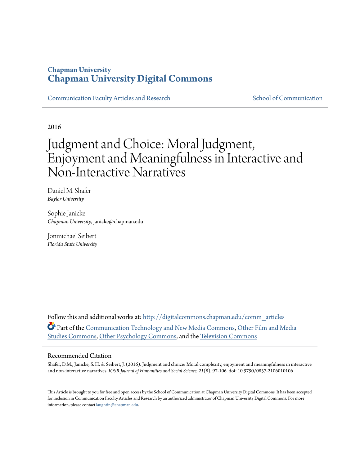### **Chapman University [Chapman University Digital Commons](http://digitalcommons.chapman.edu?utm_source=digitalcommons.chapman.edu%2Fcomm_articles%2F38&utm_medium=PDF&utm_campaign=PDFCoverPages)**

[Communication Faculty Articles and Research](http://digitalcommons.chapman.edu/comm_articles?utm_source=digitalcommons.chapman.edu%2Fcomm_articles%2F38&utm_medium=PDF&utm_campaign=PDFCoverPages) [School of Communication](http://digitalcommons.chapman.edu/communication?utm_source=digitalcommons.chapman.edu%2Fcomm_articles%2F38&utm_medium=PDF&utm_campaign=PDFCoverPages)

2016

# Judgment and Choice: Moral Judgment, Enjoyment and Meaningfulness in Interactive and Non-Interactive Narratives

Daniel M. Shafer *Baylor University*

Sophie Janicke *Chapman University*, janicke@chapman.edu

Jonmichael Seibert *Florida State University*

Follow this and additional works at: [http://digitalcommons.chapman.edu/comm\\_articles](http://digitalcommons.chapman.edu/comm_articles?utm_source=digitalcommons.chapman.edu%2Fcomm_articles%2F38&utm_medium=PDF&utm_campaign=PDFCoverPages) Part of the [Communication Technology and New Media Commons](http://network.bepress.com/hgg/discipline/327?utm_source=digitalcommons.chapman.edu%2Fcomm_articles%2F38&utm_medium=PDF&utm_campaign=PDFCoverPages), [Other Film and Media](http://network.bepress.com/hgg/discipline/565?utm_source=digitalcommons.chapman.edu%2Fcomm_articles%2F38&utm_medium=PDF&utm_campaign=PDFCoverPages) [Studies Commons](http://network.bepress.com/hgg/discipline/565?utm_source=digitalcommons.chapman.edu%2Fcomm_articles%2F38&utm_medium=PDF&utm_campaign=PDFCoverPages), [Other Psychology Commons](http://network.bepress.com/hgg/discipline/415?utm_source=digitalcommons.chapman.edu%2Fcomm_articles%2F38&utm_medium=PDF&utm_campaign=PDFCoverPages), and the [Television Commons](http://network.bepress.com/hgg/discipline/1143?utm_source=digitalcommons.chapman.edu%2Fcomm_articles%2F38&utm_medium=PDF&utm_campaign=PDFCoverPages)

#### Recommended Citation

Shafer, D.M., Janicke, S. H. & Seibert, J. (2016). Judgment and choice: Moral complexity, enjoyment and meaningfulness in interactive and non-interactive narratives. *IOSR Journal of Humanities and Social Science, 21*(8), 97-106. doi: 10.9790/0837-2106010106

This Article is brought to you for free and open access by the School of Communication at Chapman University Digital Commons. It has been accepted for inclusion in Communication Faculty Articles and Research by an authorized administrator of Chapman University Digital Commons. For more information, please contact [laughtin@chapman.edu](mailto:laughtin@chapman.edu).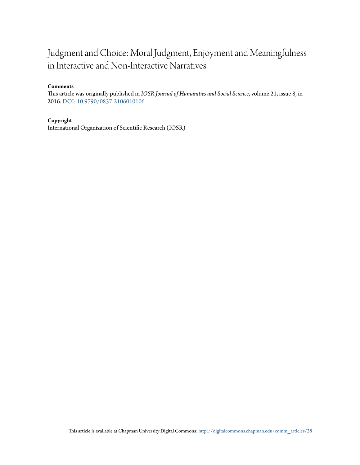# Judgment and Choice: Moral Judgment, Enjoyment and Meaningfulness in Interactive and Non-Interactive Narratives

#### **Comments**

This article was originally published in *IOSR Journal of Humanities and Social Science*, volume 21, issue 8, in 2016. [DOI: 10.9790/0837-2106010106](http://dx.doi.org/10.9790/0837-2106010106)

#### **Copyright**

International Organization of Scientific Research (IOSR)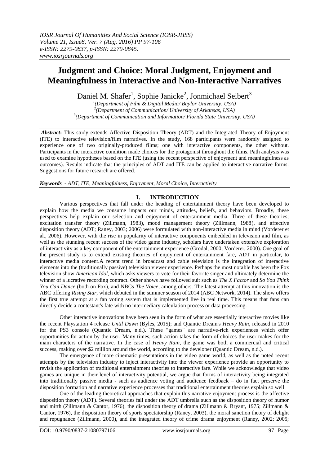## **Judgment and Choice: Moral Judgment, Enjoyment and Meaningfulness in Interactive and Non-Interactive Narratives**

Daniel M. Shafer<sup>1</sup>, Sophie Janicke<sup>2</sup>, Jonmichael Seibert<sup>3</sup>

*1 (Department of Film & Digital Media/ Baylor University, USA) 2 (Department of Communication/ University of Arkansas, USA) 3 (Department of Communication and Information/ Florida State University, USA)*

Abstract: This study extends Affective Disposition Theory (ADT) and the Integrated Theory of Enjoyment (ITE) to interactive television/film narratives. In the study, 168 participants were randomly assigned to experience one of two originally-produced films; one with interactive components, the other without. Participants in the interactive condition made choices for the protagonist throughout the films. Path analysis was used to examine hypotheses based on the ITE (using the recent perspective of enjoyment and meaningfulness as outcomes). Results indicate that the principles of ADT and ITE can be applied to interactive narrative forms. Suggestions for future research are offered.

*Keywords - ADT, ITE, Meaningfulness, Enjoyment, Moral Choice, Interactivity*

### **I. INTRODUCTION**

Various perspectives that fall under the heading of entertainment theory have been developed to explain how the media we consume impacts our minds, attitudes, beliefs, and behaviors. Broadly, these perspectives help explain our selection and enjoyment of entertainment media. Three of these theories; excitation transfer theory (Zillmann, 1983), mood management theory (Zillmann, 1988), and affective disposition theory (ADT; Raney, 2003; 2006) were formulated with non-interactive media in mind (Vorderer et al., 2006). However, with the rise in popularity of interactive components embedded in television and film, as well as the stunning recent success of the video game industry, scholars have undertaken extensive exploration of interactivity as a key component of the entertainment experience (Grodal, 2000; Vorderer, 2000). One goal of the present study is to extend existing theories of enjoyment of entertainment fare, ADT in particular, to interactive media content.A recent trend in broadcast and cable television is the integration of interactive elements into the (traditionally passive) television viewer experience. Perhaps the most notable has been the Fox television show *American Idol*, which asks viewers to vote for their favorite singer and ultimately determine the winner of a lucrative recording contract. Other shows have followed suit such as *The X Factor* and *So You Think You Can Dance* (both on Fox), and NBCs *The Voice*, among others. The latest attempt at this innovation is the ABC offering *Rising Star*, which debuted in the summer season of 2014 (ABC Network, 2014). The show offers the first true attempt at a fan voting system that is implemented live in real time. This means that fans can directly decide a contestant's fate with no intermediary calculation process or data processing.

Other interactive innovations have been seen in the form of what are essentially interactive movies like the recent Playstation 4 release *Until Dawn* (Byles, 2015); and Quantic Dream's *Heavy Rain*, released in 2010 for the PS3 console (Quantic Dream, n.d.). These "games" are narrative-rich experiences which offer opportunities for action by the user. Many times, such action takes the form of choices the user makes for the main characters of the narrative. In the case of *Heavy Rain*, the game was both a commercial and critical success, making over \$2 million around the world, according to the developer (Quantic Dream, n.d.).

The emergence of more cinematic presentations in the video game world, as well as the noted recent attempts by the television industry to inject interactivity into the viewer experience provide an opportunity to revisit the application of traditional entertainment theories to interactive fare. While we acknowledge that video games are unique in their level of interactivity potential, we argue that forms of interactivity being integrated into traditionally passive media - such as audience voting and audience feedback – do in fact preserve the disposition formation and narrative experience processes that traditional entertainment theories explain so well.

One of the leading theoretical approaches that explain this narrative enjoyment process is the affective disposition theory (ADT). Several theories fall under the ADT umbrella such as the disposition theory of humor and mirth (Zillmann & Cantor, 1976), the disposition theory of drama (Zillmann & Bryant, 1975; Zillmann & Cantor, 1976), the disposition theory of sports spectatorship (Raney, 2003), the moral sanction theory of delight and repugnance (Zillmann, 2000), and the integrated theory of crime drama enjoyment (Raney, 2002; 2005;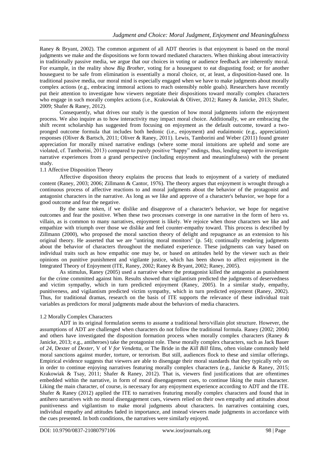Raney & Bryant, 2002). The common argument of all ADT theories is that enjoyment is based on the moral judgments we make and the dispositions we form toward mediated characters. When thinking about interactivity in traditionally passive media, we argue that our choices in voting or audience feedback are inherently moral. For example, in the reality show *Big Brother*, voting for a houseguest to eat disgusting food; or for another houseguest to be safe from elimination is essentially a moral choice, or, at least, a disposition-based one. In traditional passive media, our moral mind is especially engaged when we have to make judgments about morally complex actions (e.g., embracing immoral actions to reach ostensibly noble goals). Researchers have recently put their attention to investigate how viewers negotiate their dispositions toward morally complex characters who engage in such morally complex actions (i.e., Krakowiak & Oliver, 2012; Raney & Janicke, 2013; Shafer, 2009; Shafer & Raney, 2012).

Consequently, what drives our study is the question of how moral judgments inform the enjoyment process. We also inquire as to how interactivity may impact moral choice. Additionally, we are embracing the shift recent scholarship has suggested from focusing on enjoyment as the default outcome, toward a twopronged outcome formula that includes both hedonic (i.e., enjoyment) and eudaimonic (e.g., appreciation) responses (Oliver & Bartsch, 2011; Oliver & Raney, 2011). Lewis, Tamborini and Weber (2011) found greater appreciation for morally mixed narrative endings (where some moral intuitions are upheld and some are violated, cf. Tamborini, 2013) compared to purely positive "happy" endings, thus, lending support to investigate narrative experiences from a grand perspective (including enjoyment and meaningfulness) with the present study.

#### 1.1 Affective Disposition Theory

Affective disposition theory explains the process that leads to enjoyment of a variety of mediated content (Raney, 2003; 2006; Zillmann & Cantor, 1976). The theory argues that enjoyment is wrought through a continuous process of affective reactions to and moral judgments about the behavior of the protagonist and antagonist characters in the narrative. As long as we like and approve of a character's behavior, we hope for a good outcome and fear the negative.

By the same token, if we dislike and disapprove of a character's behavior, we hope for negative outcomes and fear the positive. When these two processes converge in one narrative in the form of hero vs. villain, as is common to many narratives, enjoyment is likely. We rejoice when those characters we like and empathize with triumph over those we dislike and feel counter-empathy toward. This process is described by Zillmann (2000), who proposed the moral sanction theory of delight and repugnance as an extension to his original theory. He asserted that we are "untiring moral monitors" (p. 54); continually rendering judgments about the behavior of characters throughout the mediated experience. These judgments can vary based on individual traits such as how empathic one may be, or based on attitudes held by the viewer such as their opinions on punitive punishment and vigilante justice, which has been shown to affect enjoyment in the Integrated Theory of Enjoyment (ITE, Raney, 2002; Raney & Bryant, 2002; Raney, 2005).

As stimulus, Raney (2005) used a narrative where the protagonist killed the antagonist as punishment for the crime committed against him. Results showed that vigilantism predicted the judgments of deservedness and victim sympathy, which in turn predicted enjoyment (Raney, 2005). In a similar study, empathy, punitiveness, and vigilantism predicted victim sympathy, which in turn predicted enjoyment (Raney, 2002). Thus, for traditional dramas, research on the basis of ITE supports the relevance of these individual trait variables as predictors for moral judgments made about the behaviors of media characters.

#### 1.2 Morally Complex Characters

ADT in its original formulation seems to assume a traditional hero/villain plot structure. However, the assumptions of ADT are challenged when characters do not follow the traditional formula. Raney (2002; 2004) and others have investigated the disposition formation process when morally complex characters (Raney & Janicke, 2013; e.g., antiheroes) take the protagonist role. These morally complex characters, such as Jack Bauer of *24*, Dexter of *Dexter*, V of *V for Vendetta*, or The Bride in the *Kill Bill* films, often violate commonly held moral sanctions against murder, torture, or terrorism. But still, audiences flock to these and similar offerings. Empirical evidence suggests that viewers are able to disengage their moral standards that they typically rely on in order to continue enjoying narratives featuring morally complex characters (e.g., Janicke & Raney, 2015; Krakowiak & Tsay, 2011; Shafer & Raney, 2012). That is, viewers find justifications that are oftentimes embedded within the narrative, in form of moral disengagement cues, to continue liking the main character. Liking the main character, of course, is necessary for any enjoyment experience according to ADT and the ITE. Shafer & Raney (2012) applied the ITE to narratives featuring morally complex characters and found that in antihero narratives with no moral disengagement cues, viewers relied on their own empathy and attitudes about punitiveness and vigilantism to make moral judgments about characters. In narratives containing cues, individual empathy and attitudes faded in importance, and instead viewers made judgments in accordance with the cues presented. In both conditions, the narratives were similarly enjoyed.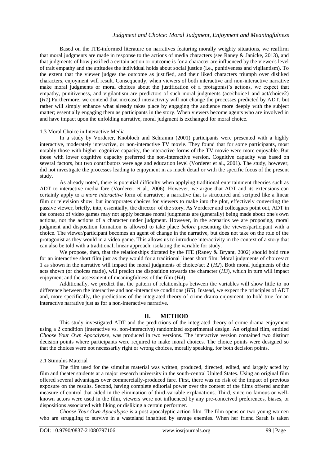Based on the ITE-informed literature on narratives featuring morally weighty situations, we reaffirm that moral judgments are made in response to the actions of media characters (see Raney & Janicke, 2013), and that judgments of how justified a certain action or outcome is for a character are influenced by the viewer's level of trait empathy and the attitudes the individual holds about social justice (i.e., punitiveness and vigilantism). To the extent that the viewer judges the outcome as justified, and their liked characters triumph over disliked characters, enjoyment will result. Consequently, when viewers of both interactive and non-interactive narrative make moral judgments or moral choices about the justification of a protagonist's actions, we expect that empathy, punitiveness, and vigilantism are predictors of such moral judgments (act/choice1 and act/choice2) (*H1*).Furthermore, we contend that increased interactivity will not change the processes predicted by ADT, but rather will simply enhance what already takes place by engaging the audience more deeply with the subject matter; essentially engaging them as participants in the story. When viewers become agents who are involved in and have impact upon the unfolding narrative, moral judgment is exchanged for moral choice.

#### 1.3 Moral Choice in Interactive Media

In a study by Vorderer, Knobloch and Schramm (2001) participants were presented with a highly interactive, moderately interactive, or non-interactive TV movie. They found that for some participants, most notably those with higher cognitive capacity, the interactive forms of the TV movie were more enjoyable. But those with lower cognitive capacity preferred the non-interactive version. Cognitive capacity was based on several factors, but two contributors were age and education level (Vorderer et al., 2001). The study, however, did not investigate the processes leading to enjoyment in as much detail or with the specific focus of the present study.

As already noted, there is potential difficulty when applying traditional entertainment theories such as ADT to interactive media fare (Vorderer, et al., 2006). However, we argue that ADT and its extensions can certainly apply to a *more interactive* form of narrative; a narrative that is structured and scripted like a linear film or television show, but incorporates choices for viewers to make into the plot, effectively converting the passive viewer, briefly, into, essentially, the director of the story. As Vorderer and colleagues point out, ADT in the context of video games may not apply because moral judgments are (generally) being made about one's own actions, not the actions of a character under judgment. However, in the scenarios we are proposing, moral judgment and disposition formation is allowed to take place *before* presenting the viewer/participant with a choice. The viewer/participant becomes an agent of change in the narrative, but does not take on the role of the protagonist as they would in a video game. This allows us to introduce interactivity in the context of a story that can also be told with a traditional, linear approach; isolating the variable for study.

We propose, then, that the relationships dictated by the ITE (Raney & Bryant, 2002) should hold true for an interactive short film just as they would for a traditional linear short film: Moral judgments of choice/act 1 as shown in the narrative will impact the moral judgments of choice/act 2 (*H2*). Both moral judgments of the acts shown (or choices made), will predict the disposition towards the character (*H3*), which in turn will impact enjoyment and the assessment of meaningfulness of the film (*H4*).

Additionally, we predict that the pattern of relationships between the variables will show little to no difference between the interactive and non-interactive conditions (*H5*). Instead, we expect the principles of ADT and, more specifically, the predictions of the integrated theory of crime drama enjoyment, to hold true for an interactive narrative just as for a non-interactive narrative.

#### **II. METHOD**

This study investigated ADT and the predictions of the integrated theory of crime drama enjoyment using a 2 condition (interactive vs. non-interactive) randomized experimental design. An original film, entitled *Choose Your Own Apocalypse*, was produced in two versions. The interactive version contained two distinct decision points where participants were required to make moral choices. The choice points were designed so that the choices were not necessarily right or wrong choices, morally speaking, for both decision points.

#### 2.1 Stimulus Material

The film used for the stimulus material was written, produced, directed, edited, and largely acted by film and theater students at a major research university in the south-central United States. Using an original film offered several advantages over commercially-produced fare. First, there was no risk of the impact of previous exposure on the results. Second, having complete editorial power over the content of the films offered another measure of control that aided in the elimination of third-variable explanations. Third, since no famous or wellknown actors were used in the film, viewers were not influenced by any pre-conceived preferences, biases, or dispositions associated with liking or disliking a certain performer.

*Choose Your Own Apocalypse* is a post-apocalyptic action film. The film opens on two young women who are struggling to survive in a wasteland inhabited by savage enemies. When her friend Sarah is taken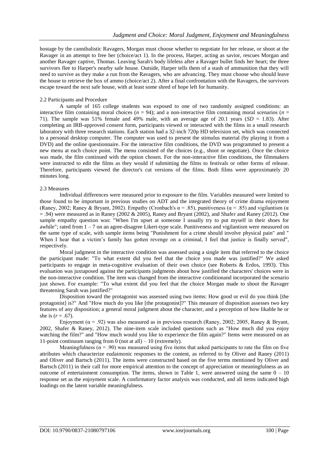hostage by the cannibalistic Ravagers, Morgan must choose whether to negotiate for her release, or shoot at the Ravager in an attempt to free her (choice/act 1). In the process, Harper, acting as savior, rescues Morgan and another Ravager captive, Thomas. Leaving Sarah's body lifeless after a Ravager bullet finds her heart; the three survivors flee to Harper's nearby safe house. Outside, Harper tells them of a stash of ammunition that they will need to survive as they make a run from the Ravagers, who are advancing. They must choose who should leave the house to retrieve the box of ammo (choice/act 2). After a final confrontation with the Ravagers, the survivors escape toward the next safe house, with at least some shred of hope left for humanity.

#### 2.2 Participants and Procedure

A sample of 165 college students was exposed to one of two randomly assigned conditions: an interactive film containing moral choices  $(n = 94)$ ; and a non-interactive film containing moral scenarios  $(n = 100)$ 71). The sample was 51% female and 49% male, with an average age of 20.1 years  $(SD = 1.83)$ . After completing an IRB-approved consent form, participants viewed or interacted with the films in a small research laboratory with three research stations. Each station had a 32-inch 720p HD television set, which was connected to a personal desktop computer. The computer was used to present the stimulus material (by playing it from a DVD) and the online questionnaire. For the interactive film conditions, the DVD was programmed to present a new menu at each choice point. The menu consisted of the choices (e.g., shoot or negotiate). Once the choice was made, the film continued with the option chosen. For the non-interactive film conditions, the filmmakers were instructed to edit the films as they would if submitting the films to festivals or other forms of release. Therefore, participants viewed the director's cut versions of the films. Both films were approximately 20 minutes long.

#### 2.3 Measures

Individual differences were measured prior to exposure to the film. Variables measured were limited to those found to be important in previous studies on ADT and the integrated theory of crime drama enjoyment (Raney, 2002; Raney & Bryant, 2002). Empathy (Cronbach's  $\alpha$  = .85), punitiveness ( $\alpha$  = .85) and vigilantism ( $\alpha$ )  $=$  .94) were measured as in Raney (2002 & 2005), Raney and Bryant (2002), and Shafer and Raney (2012). One sample empathy question was: "When I'm upset at someone I usually try to put myself in their shoes for awhile"; rated from 1 – 7 on an agree-disagree Likert-type scale. Punitiveness and vigilantism were measured on the same type of scale, with sample items being "Punishment for a crime should involve physical pain" and " When I hear that a victim's family has gotten revenge on a criminal, I feel that justice is finally served", respectively.

Moral judgment in the interactive condition was assessed using a single item that referred to the choice the participant made: "To what extent did you feel that the choice you made was justified?" We asked participants to engage in meta-cognitive evaluation of their own choice (see Roberts & Erdos, 1993). This evaluation was juxtaposed against the participants judgments about how justified the characters' choices were in the non-interactive condition. The item was changed from the interactive conditionand incorporated the scenario just shown. For example: "To what extent did you feel that the choice Morgan made to shoot the Ravager threatening Sarah was justified?"

Disposition toward the protagonist was assessed using two items: How good or evil do you think [the protagonist] is?" And "How much do you like [the protagonist]?" This measure of disposition assesses two key features of any disposition; a general moral judgment about the character, and a perception of how likable he or she is  $(r = .67)$ .

Enjoyment ( $\alpha$  = .92) was also measured as in previous research (Raney, 2002; 2005, Raney & Bryant, 2002, Shafer & Raney, 2012). The nine-item scale included questions such as "How much did you enjoy watching the film?" and "How much would you like to experience the film again?" Items were measured on an 11-point continuum ranging from 0 (not at all)  $-10$  (extremely).

Meaningfulness ( $\alpha$  = .90) was measured using five items that asked participants to rate the film on five attributes which characterize eudaimonic responses to the content, as referred to by Oliver and Raney (2011) and Oliver and Bartsch (2011). The items were constructed based on the five terms mentioned by Oliver and Bartsch (2011) in their call for more empirical attention to the concept of appreciation or meaningfulness as an outcome of entertainment consumption. The items, shown in Table 1, were answered using the same  $0 - 10$ response set as the enjoyment scale. A confirmatory factor analysis was conducted, and all items indicated high loadings on the latent variable meaningfulness.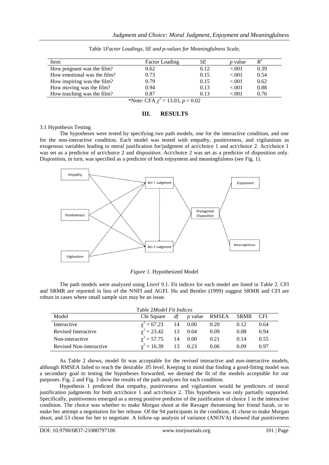| Item                                  | <b>Factor Loading</b> | SЕ   | <i>p</i> value | $R^2$ |  |
|---------------------------------------|-----------------------|------|----------------|-------|--|
| How poignant was the film?            | 0.62                  | 0.12 | ${<}001$       | 0.39  |  |
| How emotional was the film?           | 0.73                  | 0.15 | ${<}001$       | 0.54  |  |
| How inspiring was the film?           | 0.79                  | 0.15 | ${<}001$       | 0.62  |  |
| How moving was the film?              | 0.94                  | 0.13 | < 0.01         | 0.88  |  |
| How touching was the film?            | 0.87                  | 0.13 | < 0.01         | 0.76  |  |
| *Note: CFA $\chi^2$ = 13.03, p = 0.02 |                       |      |                |       |  |

Table 1*Factor Loadings, SE and p-values for Meaningfulness Scale,*

### **III. RESULTS**

#### 3.1 Hypothesis Testing

The hypotheses were tested by specifying two path models, one for the interactive condition, and one for the non-interactive condition. Each model was tested with empathy, punitiveness, and vigilantism as exogenous variables leading to moral justification for/judgment of act/choice 1 and act/choice 2. Act/choice 1 was set as a predictor of act/choice 2 and disposition. Act/choice 2 was set as a predictor of disposition only. Disposition, in turn, was specified as a predictor of both enjoyment and meaningfulness (see Fig. 1).



*Figure 1*. Hypothesized Model

The path models were analyzed using *Lisrel 9.1*. Fit indices for each model are listed in Table 2. CFI and SRMR are reported in lieu of the NNFI and AGFI. Hu and Bentler (1999) suggest SRMR and CFI are robust in cases where small sample size may be an issue.

| Table 2 <i>Model Fit Indices</i> |                    |    |         |                         |          |      |
|----------------------------------|--------------------|----|---------|-------------------------|----------|------|
| Model                            | Chi Square         |    |         | <i>df p</i> value RMSEA | SRMR CFI |      |
| Interactive                      | $\chi^2 = 67.23$   | 14 | 0.00    | 0.20                    | 0.12     | 0.64 |
| Revised Interactive              | $\gamma^2 = 23.42$ |    | 13 0.04 | 0.09                    | 0.08     | 0.94 |
| Non-interactive                  | $\chi^2 = 57.75$   |    | 14 0.00 | 0.21                    | 0.14     | 0.55 |
| Revised Non-interactive          | $\chi^2 = 16.39$   | 13 | 0.23    | 0.06                    | 0.09     | 0.97 |

As Table 2 shows, model fit was acceptable for the revised interactive and non-interactive models, although RMSEA failed to reach the desirable .05 level. Keeping in mind that finding a good-fitting model was a secondary goal to testing the hypotheses forwarded, we deemed the fit of the models acceptable for our purposes. Fig. 2 and Fig. 3 show the results of the path analyses for each condition.

Hypothesis 1 predicted that empathy, punitiveness and vigilantism would be predictors of moral justification judgments for both act/choice 1 and act/choice 2. This hypothesis was only partially supported. Specifically, punitiveness emerged as a strong positive predictor of the justification of choice 1 in the interactive condition. The choice was whether to make Morgan shoot at the Ravager threatening her friend Sarah, or to make her attempt a negotiation for her release. Of the 94 participants in the condition, 41 chose to make Morgan shoot, and 53 chose for her to negotiate. A follow-up analysis of variance (ANOVA) showed that punitiveness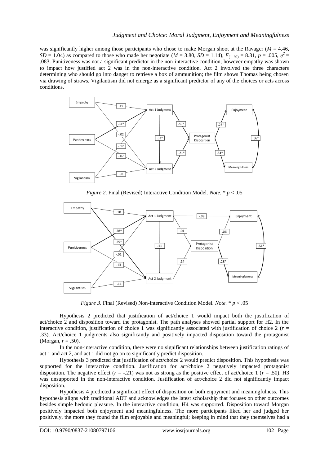was significantly higher among those participants who chose to make Morgan shoot at the Ravager ( $M = 4.46$ , *SD* = 1.04) as compared to those who made her negotiate ( $M = 3.80$ ,  $SD = 1.14$ ),  $F_{(1, 92)} = 8.31$ ,  $p = .005$ ,  $\eta^2 =$ .083. Punitiveness was not a significant predictor in the non-interactive condition; however empathy was shown to impact how justified act 2 was in the non-interactive condition. Act 2 involved the three characters determining who should go into danger to retrieve a box of ammunition; the film shows Thomas being chosen via drawing of straws. Vigilantism did not emerge as a significant predictor of any of the choices or acts across conditions.



*Figure 2*. Final (Revised) Interactive Condition Model*. Note.* \* *p* < .05



*Figure 3*. Final (Revised) Non-interactive Condition Model*. Note.* \* *p* < .05

Hypothesis 2 predicted that justification of act/choice 1 would impact both the justification of act/choice 2 and disposition toward the protagonist. The path analyses showed partial support for H2. In the interactive condition, justification of choice 1 was significantly associated with justification of choice 2 ( $r =$ .33). Act/choice 1 judgments also significantly and positively impacted disposition toward the protagonist (Morgan, *r* = .50).

In the non-interactive condition, there were no significant relationships between justification ratings of act 1 and act 2, and act 1 did not go on to significantly predict disposition.

Hypothesis 3 predicted that justification of act/choice 2 would predict disposition. This hypothesis was supported for the interactive condition. Justification for act/choice 2 negatively impacted protagonist disposition. The negative effect  $(r = -.21)$  was not as strong as the positive effect of act/choice 1  $(r = .50)$ . H3 was unsupported in the non-interactive condition. Justification of act/choice 2 did not significantly impact disposition.

Hypothesis 4 predicted a significant effect of disposition on both enjoyment and meaningfulness. This hypothesis aligns with traditional ADT and acknowledges the latest scholarship that focuses on other outcomes besides simple hedonic pleasure. In the interactive condition, H4 was supported. Disposition toward Morgan positively impacted both enjoyment and meaningfulness. The more participants liked her and judged her positively, the more they found the film enjoyable and meaningful; keeping in mind that they themselves had a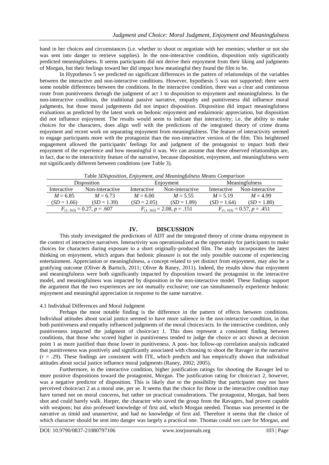hand in her choices and circumstances (i.e. whether to shoot or negotiate with her enemies; whether or not she was sent into danger to retrieve supplies). In the non-interactive condition, disposition only significantly predicted meaningfulness. It seems participants did not derive their enjoyment from their liking and judgments of Morgan, but their feelings toward her did impact how meaningful they found the film to be.

In Hypotheses 5 we predicted no significant differences in the pattern of relationships of the variables between the interactive and non-interactive conditions. However, hypothesis 5 was not supported; there were some notable differences between the conditions. In the interactive condition, there was a clear and continuous route from punitiveness through the judgment of act 1 to disposition to enjoyment and meaningfulness. In the non-interactive condition, the traditional passive narrative, empathy and punitiveness did influence moral judgments, but those moral judgements did not impact disposition. Disposition did impact meaningfulness evaluations as predicted by the latest work on hedonic enjoyment and eudaimonic appreciation, but disposition did not influence enjoyment. The results would seem to indicate that interactivity; i.e. the ability to make choices for the characters, does align well with the predictions of the integrated theory of crime drama enjoyment and recent work on separating enjoyment from meaningfulness. The feature of interactivity seemed to engage participants more with the protagonist than the non-interactive version of the film. This heightened engagement allowed the participants' feelings for and judgment of the protagonist to impact both their enjoyment of the experience and how meaningful it was. We can assume that these observed relationships are, in fact, due to the interactivity feature of the narrative, because disposition, enjoyment, and meaningfulness were not significantly different between conditions (see Table 3).

|  |  | Table 3Disposition, Enjoyment, and Meaningfulness Means Comparison |  |
|--|--|--------------------------------------------------------------------|--|
|--|--|--------------------------------------------------------------------|--|

| Disposition                     |                 | Enjoyment                       |                 | Meaningfulness                  |                 |  |
|---------------------------------|-----------------|---------------------------------|-----------------|---------------------------------|-----------------|--|
| Interactive                     | Non-interactive | Interactive                     | Non-interactive | Interactive                     | Non-interactive |  |
| $M = 6.85$                      | $M = 6.73$      | $M = 6.00$                      | $M = 5.55$      | $M = 5.19$                      | $M = 4.99$      |  |
| $(SD = 1.66)$                   | $(SD = 1.39)$   | $(SD = 2.05)$                   | $(SD = 1.89)$   | $(SD = 1.64)$                   | $(SD = 1.80)$   |  |
| $F_{(1, 163)} = 0.27, p = .607$ |                 | $F_{(1, 163)} = 2.08, p = .151$ |                 | $F_{(1, 163)} = 0.57, p = .451$ |                 |  |

#### **IV. DISCUSSION**

This study investigated the predictions of ADT and the integrated theory of crime drama enjoyment in the context of interactive narratives. Interactivity was operationalized as the opportunity for participants to make choices for characters during exposure to a short originally-produced film. The study incorporates the latest thinking on enjoyment, which argues that hedonic pleasure is not the only possible outcome of experiencing entertainment. Appreciation or meaningfulness, a concept related to yet distinct from enjoyment, may also be a gratifying outcome (Oliver & Bartsch, 2011; Oliver & Raney, 2011). Indeed, the results show that enjoyment and meaningfulness were both significantly impacted by disposition toward the protagonist in the interactive model, and meaningfulness was impacted by disposition in the non-interactive model. These findings support the argument that the two experiences are not mutually exclusive; one can simultaneously experience hedonic enjoyment and meaningful appreciation in response to the same narrative.

#### 4.1 Individual Differences and Moral Judgment

Perhaps the most notable finding is the difference in the pattern of effects between conditions. Individual attitudes about social justice seemed to have more salience in the non-interactive condition, in that both punitiveness and empathy influenced judgments of the moral choices/acts. In the interactive condition, only punitiveness impacted the judgment of choice/act 1. This does represent a consistent finding between conditions, that those who scored higher in punitiveness tended to judge the choice or act shown at decision point 1 as more justified than those lower in punitiveness. A post- hoc follow-up correlation analysis indicated that punitiveness was positively and significantly associated with choosing to shoot the Ravager in the narrative  $(r = .29)$ . These findings are consistent with ITE, which predicts and has empirically shown that individual attitudes about social justice influence moral judgments (Raney, 2002; 2005).

Furthermore, in the interactive condition, higher justification ratings for shooting the Ravager led to more positive dispositions toward the protagonist, Morgan. The justification rating for choice/act 2, however, was a negative predictor of disposition. This is likely due to the possibility that participants may not have perceived choice/act 2 as a moral one, per se. It seems that the choice for those in the interactive condition may have turned not on moral concerns, but rather on practical considerations. The protagonist, Morgan, had been shot and could barely walk. Harper, the character who saved the group from the Ravagers, had proven capable with weapons; but also professed knowledge of first aid, which Morgan needed. Thomas was presented in the narrative as timid and unassertive, and had no knowledge of first aid. Therefore it seems that the choice of which character should be sent into danger was largely a practical one. Thomas could not care for Morgan, and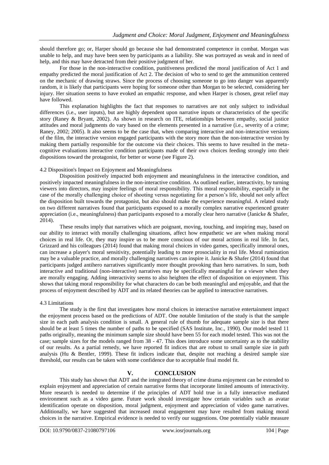should therefore go; or, Harper should go because she had demonstrated competence in combat. Morgan was unable to help, and may have been seen by participants as a liability. She was portrayed as weak and in need of help, and this may have detracted from their positive judgment of her.

For those in the non-interactive condition, punitiveness predicted the moral justification of Act 1 and empathy predicted the moral justification of Act 2. The decision of who to send to get the ammunition centered on the mechanic of drawing straws. Since the process of choosing someone to go into danger was apparently random, it is likely that participants were hoping for someone other than Morgan to be selected, considering her injury. Her situation seems to have evoked an empathic response, and when Harper is chosen, great relief may have followed.

This explanation highlights the fact that responses to narratives are not only subject to individual differences (i.e., user inputs), but are highly dependent upon narrative inputs or characteristics of the specific story (Raney & Bryant, 2002). As shown in research on ITE, relationships between empathy, social justice attitudes and moral judgments do vary based on the elements presented in a narrative (i.e., severity of a crime; Raney, 2002; 2005). It also seems to be the case that, when comparing interactive and non-interactive versions of the film, the interactive version engaged participants with the story more than the non-interactive version by making them partially responsible for the outcome via their choices. This seems to have resulted in the metacognitive evaluations interactive condition participants made of their own choices feeding strongly into their dispositions toward the protagonist, for better or worse (see Figure 2).

#### 4.2 Disposition's Impact on Enjoyment and Meaningfulness

Disposition positively impacted both enjoyment and meaningfulness in the interactive condition, and positively impacted meaningfulness in the non-interactive condition. As outlined earlier, interactivity, by turning viewers into directors, may inspire feelings of moral responsibility. This moral responsibility, especially in the case of the morally challenging choice of shooting versus negotiating for a person's life, should not only affect the disposition built towards the protagonist, but also should make the experience meaningful. A related study on two different narratives found that participants exposed to a morally complex narrative experienced greater appreciation (i.e., meaningfulness) than participants exposed to a morally clear hero narrative (Janicke & Shafer, 2014).

These results imply that narratives which are poignant, moving, touching, and inspiring may, based on our ability to interact with morally challenging situations, affect how empathetic we are when making moral choices in real life. Or, they may inspire us to be more conscious of our moral actions in real life. In fact, Grizzard and his colleagues (2014) found that making moral choices in video games, specifically immoral ones, can increase a player's moral sensitivity, potentially leading to more prosociality in real life. Moral rumination may be a valuable practice, and morally challenging narratives can inspire it. Janicke & Shafer (2014) found that participants judged antihero narratives significantly more thought provoking than hero narratives. In sum, both interactive and traditional (non-interactive) narratives may be specifically meaningful for a viewer when they are morally engaging. Adding interactivity seems to also heighten the effect of disposition on enjoyment. This shows that taking moral responsibility for what characters do can be both meaningful and enjoyable, and that the process of enjoyment described by ADT and its related theories can be applied to interactive narratives.

#### 4.3 Limitations

The study is the first that investigates how moral choices in interactive narrative entertainment impact the enjoyment process based on the predictions of ADT. One notable limitation of the study is that the sample size in each path analysis condition is small. A general rule of thumb for adequate sample size is that there should be at least 5 times the number of paths to be specified (SAS Institute, Inc., 1990). Our model tested 11 paths originally, meaning the minimum sample size should have been 55 for each model tested. This was not the case; sample sizes for the models ranged from 38 - 47. This does introduce some uncertainty as to the stability of our results. As a partial remedy, we have reported fit indices that are robust to small sample size in path analysis (Hu & Bentler, 1999). These fit indices indicate that, despite not reaching a desired sample size threshold, our results can be taken with some confidence due to acceptable final model fit.

#### **V. CONCLUSION**

This study has shown that ADT and the integrated theory of crime drama enjoyment can be extended to explain enjoyment and appreciation of certain narrative forms that incorporate limited amounts of interactivity. More research is needed to determine if the principles of ADT hold true in a fully interactive mediated environment such as a video game. Future work should investigate how certain variables such as avatar identification operate on disposition, moral judgment, enjoyment and appreciation of video game narratives. Additionally, we have suggested that increased moral engagement may have resulted from making moral choices in the narrative. Empirical evidence is needed to verify our suggestions. One potentially viable measure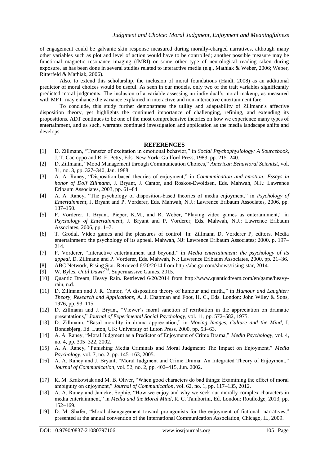of engagement could be galvanic skin response measured during morally-charged narratives, although many other variables such as plot and level of action would have to be controlled; another possible measure may be functional magnetic resonance imaging (fMRI) or some other type of neurological reading taken during exposure, as has been done in several studies related to interactive media (e.g., Mathiak & Weber, 2006; Weber, Ritterfeld & Mathiak, 2006).

Also, to extend this scholarship, the inclusion of moral foundations (Haidt, 2008) as an additional predictor of moral choices would be useful. As seen in our models, only two of the trait variables significantly predicted moral judgments. The inclusion of a variable assessing an individual's moral makeup, as measured with MFT, may enhance the variance explained in interactive and non-interactive entertainment fare.

To conclude, this study further demonstrates the utility and adaptability of Zillmann's affective disposition theory, yet highlights the continued importance of challenging, refining, and extending its propositions. ADT continues to be one of the most comprehensive theories on how we experience many types of entertainment, and as such, warrants continued investigation and application as the media landscape shifts and develops.

#### **REFERENCES**

- [1] D. Zillmann, "Transfer of excitation in emotional behavior," in *Social Psychophysiology: A Sourcebook*, J. T. Cacioppo and R. E. Petty, Eds. New York: Guilford Press, 1983, pp. 215–240.
- [2] D. Zillmann, "Mood Management through Communication Choices," *American Behavioral Scientist*, vol. 31, no. 3, pp. 327–340, Jan. 1988.
- [3] A. A. Raney, "Disposition-based theories of enjoyment," in *Communication and emotion: Essays in honor of Dolf Zillmann*, J. Bryant, J. Cantor, and Roskos-Ewoldsen, Eds. Mahwah, N.J.: Lawrence Erlbaum Associates, 2003, pp. 61–84.
- [4] A. A. Raney, "The psychology of disposition-based theories of media enjoyment," in *Psychology of Entertainment*, J. Bryant and P. Vorderer, Eds. Mahwah, N.J.: Lawrence Erlbaum Associates, 2006, pp. 137–150.
- [5] P. Vorderer, J. Bryant, Pieper, K.M., and R. Weber, "Playing video games as entertainment," in *Psychology of Entertainment*, J. Bryant and P. Vorderer, Eds. Mahwah, N.J.: Lawrence Erlbaum Associates, 2006, pp. 1–7.
- [6] T. Grodal, Video games and the pleasures of control. In: Zillmann D, Vorderer P, editors. Media entertainment: the psychology of its appeal. Mahwah, NJ: Lawrence Erlbaum Associates; 2000. p. 197– 214.
- [7] P. Vorderer, "Interactive entertainment and beyond," in *Media entertainment: the psychology of its appeal*, D. Zillmann and P. Vorderer, Eds. Mahwah, NJ: Lawrence Erlbaum Associates, 2000, pp. 21–36.
- [8] ABC Network, Rising Star. Retrieved 6/20/2014 from [http://abc.go.com/shows/rising-star,](http://abc.go.com/shows/rising-star) 2014.
- [9] W. Byles, *Until DawnTM*. Supermassive Games, 2015.
- [10] Quantic Dream, Heavy Rain. Retrieved 6/20/2014 from [http://www.quanticdream.com/en/game/heavy](http://www.quanticdream.com/en/game/heavy-rain)[rain,](http://www.quanticdream.com/en/game/heavy-rain) n.d.
- [11] D. Zillmann and J. R. Cantor, "A disposition theory of humour and mirth.," in *Humour and Laughter: Theory, Research and Applications*, A. J. Chapman and Foot, H. C., Eds. London: John Wiley & Sons, 1976, pp. 93–115.
- [12] D. Zillmann and J. Bryant, "Viewer's moral sanction of retribution in the appreciation on dramatic presentations," *Journal of Experimental Social Psychology*, vol. 11, pp. 572–582, 1975.
- [13] D. Zillmann, "Basal morality in drama appreciation," in *Moving Images, Culture and the Mind*, I. Bondebjerg, Ed. Luton, UK: University of Luton Press, 2000, pp. 53–63.
- [14] A. A. Raney, "Moral Judgment as a Predictor of Enjoyment of Crime Drama," *Media Psychology*, vol. 4, no. 4, pp. 305–322, 2002.
- [15] A. A. Raney, "Punishing Media Criminals and Moral Judgment: The Impact on Enjoyment," *Media Psychology*, vol. 7, no. 2, pp. 145–163, 2005.
- [16] A. A. Raney and J. Bryant, "Moral Judgment and Crime Drama: An Integrated Theory of Enjoyment," *Journal of Communication*, vol. 52, no. 2, pp. 402–415, Jun. 2002.
- [17] K. M. Krakowiak and M. B. Oliver, "When good characters do bad things: Examining the effect of moral ambiguity on enjoyment," *Journal of Communication*, vol. 62, no. 1, pp. 117–135, 2012.
- [18] A. A. Raney and Janicke, Sophie, "How we enjoy and why we seek out morally complex characters in media entertainment," in *Media and the Moral Mind*, R. C. Tamborini, Ed. London: Routledge, 2013, pp. 152–169.
- [19] D. M. Shafer, "Moral disengagement toward protagonists for the enjoyment of fictional narratives," presented at the annual convention of the International Communication Association, Chicago, IL, 2009.